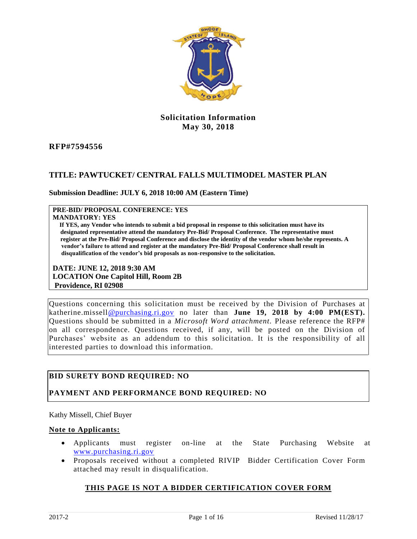

#### **Solicitation Information May 30, 2018**

#### **RFP#7594556**

#### **TITLE: PAWTUCKET/ CENTRAL FALLS MULTIMODEL MASTER PLAN**

#### **Submission Deadline: JULY 6, 2018 10:00 AM (Eastern Time)**

#### **PRE-BID/ PROPOSAL CONFERENCE: YES**

#### **MANDATORY: YES**

 **If YES, any Vendor who intends to submit a bid proposal in response to this solicitation must have its designated representative attend the mandatory Pre-Bid/ Proposal Conference. The representative must register at the Pre-Bid/ Proposal Conference and disclose the identity of the vendor whom he/she represents. A vendor's failure to attend and register at the mandatory Pre-Bid/ Proposal Conference shall result in disqualification of the vendor's bid proposals as non-responsive to the solicitation.** 

**DATE: JUNE 12, 2018 9:30 AM LOCATION One Capitol Hill, Room 2B Providence, RI 02908**

Questions concerning this solicitation must be received by the Division of Purchases at katherine.missel[l@purchasing.ri.gov](mailto:questions@purchasing.ri.gov) no later than **June 19, 2018 by 4:00 PM(EST).**  Questions should be submitted in a *Microsoft Word attachment.* Please reference the RFP# on all correspondence. Questions received, if any, will be posted on the Division of Purchases' website as an addendum to this solicitation. It is the responsibility of all interested parties to download this information.

#### **BID SURETY BOND REQUIRED: NO**

#### **PAYMENT AND PERFORMANCE BOND REQUIRED: NO**

Kathy Missell, Chief Buyer

#### **Note to Applicants:**

- Applicants must register on-line at the State Purchasing Website at [www.purchasing.ri.gov](http://www.purchasing.ri.gov/)
- Proposals received without a completed RIVIP Bidder Certification Cover Form attached may result in disqualification.

#### **THIS PAGE IS NOT A BIDDER CERTIFICATION COVER FORM**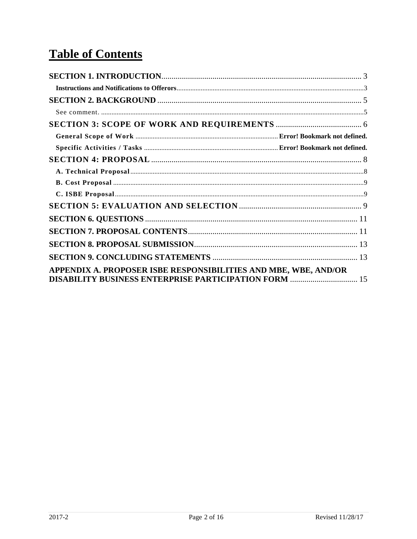# **Table of Contents**

| APPENDIX A. PROPOSER ISBE RESPONSIBILITIES AND MBE, WBE, AND/OR<br><b>DISABILITY BUSINESS ENTERPRISE PARTICIPATION FORM  15</b> |  |
|---------------------------------------------------------------------------------------------------------------------------------|--|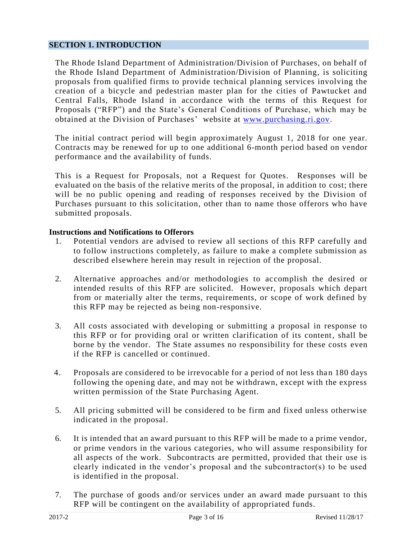#### <span id="page-2-0"></span>**SECTION 1. INTRODUCTION**

The Rhode Island Department of Administration/Division of Purchases, on behalf of the Rhode Island Department of Administration/Division of Planning, is soliciting proposals from qualified firms to provide technical planning services involving the creation of a bicycle and pedestrian master plan for the cities of Pawtucket and Central Falls, Rhode Island in accordance with the terms of this Request for Proposals ("RFP") and the State's General Conditions of Purchase, which may be obtained at the Division of Purchases' website at [www.purchasing.ri.gov.](http://www.purchasing.ri.gov/)

The initial contract period will begin approximately August 1, 2018 for one year. Contracts may be renewed for up to one additional 6-month period based on vendor performance and the availability of funds.

This is a Request for Proposals, not a Request for Quotes. Responses will be evaluated on the basis of the relative merits of the proposal, in addition to cost; there will be no public opening and reading of responses received by the Division of Purchases pursuant to this solicitation, other than to name those offerors who have submitted proposals.

#### <span id="page-2-1"></span>**Instructions and Notifications to Offerors**

- 1. Potential vendors are advised to review all sections of this RFP carefully and to follow instructions completely, as failure to make a complete submission as described elsewhere herein may result in rejection of the proposal.
- 2. Alternative approaches and/or methodologies to accomplish the desired or intended results of this RFP are solicited. However, proposals which depart from or materially alter the terms, requirements, or scope of work defined by this RFP may be rejected as being non-responsive.
- 3. All costs associated with developing or submitting a proposal in response to this RFP or for providing oral or written clarification of its content, shall be borne by the vendor. The State assumes no responsibility for these costs even if the RFP is cancelled or continued.
- 4. Proposals are considered to be irrevocable for a period of not less than 180 days following the opening date, and may not be withdrawn, except with the express written permission of the State Purchasing Agent.
- 5. All pricing submitted will be considered to be firm and fixed unless otherwise indicated in the proposal.
- 6. It is intended that an award pursuant to this RFP will be made to a prime vendor, or prime vendors in the various categories, who will assume responsibility for all aspects of the work. Subcontracts are permitted, provided that their use is clearly indicated in the vendor's proposal and the subcontractor(s) to be used is identified in the proposal.
- 7. The purchase of goods and/or services under an award made pursuant to this RFP will be contingent on the availability of appropriated funds.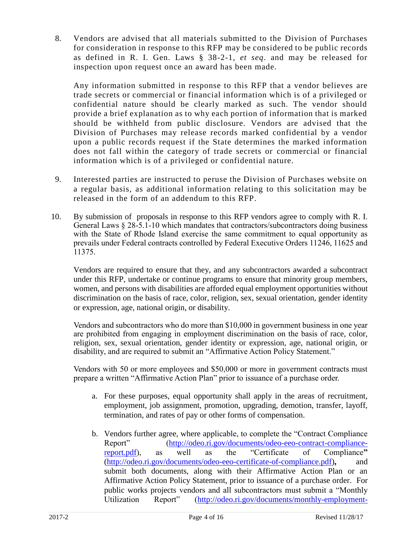8. Vendors are advised that all materials submitted to the Division of Purchases for consideration in response to this RFP may be considered to be public records as defined in R. I. Gen. Laws § 38-2-1, *et seq*. and may be released for inspection upon request once an award has been made.

Any information submitted in response to this RFP that a vendor believes are trade secrets or commercial or financial information which is of a privileged or confidential nature should be clearly marked as such. The vendor should provide a brief explanation as to why each portion of information that is marked should be withheld from public disclosure. Vendors are advised that the Division of Purchases may release records marked confidential by a vendor upon a public records request if the State determines the marked information does not fall within the category of trade secrets or commercial or financial information which is of a privileged or confidential nature.

- 9. Interested parties are instructed to peruse the Division of Purchases website on a regular basis, as additional information relating to this solicitation may be released in the form of an addendum to this RFP.
- 10. By submission of proposals in response to this RFP vendors agree to comply with R. I. General Laws § 28-5.1-10 which mandates that contractors/subcontractors doing business with the State of Rhode Island exercise the same commitment to equal opportunity as prevails under Federal contracts controlled by Federal Executive Orders 11246, 11625 and 11375.

Vendors are required to ensure that they, and any subcontractors awarded a subcontract under this RFP, undertake or continue programs to ensure that minority group members, women, and persons with disabilities are afforded equal employment opportunities without discrimination on the basis of race, color, religion, sex, sexual orientation, gender identity or expression, age, national origin, or disability.

Vendors and subcontractors who do more than \$10,000 in government business in one year are prohibited from engaging in employment discrimination on the basis of race, color, religion, sex, sexual orientation, gender identity or expression, age, national origin, or disability, and are required to submit an "Affirmative Action Policy Statement."

Vendors with 50 or more employees and \$50,000 or more in government contracts must prepare a written "Affirmative Action Plan" prior to issuance of a purchase order.

- a. For these purposes, equal opportunity shall apply in the areas of recruitment, employment, job assignment, promotion, upgrading, demotion, transfer, layoff, termination, and rates of pay or other forms of compensation.
- b. Vendors further agree, where applicable, to complete the "Contract Compliance Report" [\(http://odeo.ri.gov/documents/odeo-eeo-contract-compliance](http://odeo.ri.gov/documents/odeo-eeo-contract-compliance-report.pdf)[report.pdf\)](http://odeo.ri.gov/documents/odeo-eeo-contract-compliance-report.pdf), as well as the "Certificate of Compliance**"**  [\(http://odeo.ri.gov/documents/odeo-eeo-certificate-of-compliance.pdf\)](http://odeo.ri.gov/documents/odeo-eeo-certificate-of-compliance.pdf)**,** and submit both documents, along with their Affirmative Action Plan or an Affirmative Action Policy Statement, prior to issuance of a purchase order. For public works projects vendors and all subcontractors must submit a "Monthly Utilization Report" [\(http://odeo.ri.gov/documents/monthly-employment-](http://odeo.ri.gov/documents/monthly-employment-utilization-report-form.xlsx)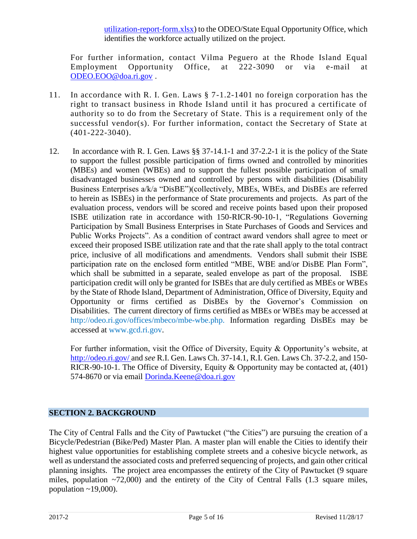[utilization-report-form.xlsx\)](http://odeo.ri.gov/documents/monthly-employment-utilization-report-form.xlsx) to the ODEO/State Equal Opportunity Office, which identifies the workforce actually utilized on the project.

For further information, contact Vilma Peguero at the Rhode Island Equal Employment Opportunity Office, at 222-3090 or via e-mail at [ODEO.EOO@doa.ri.gov](mailto:ODEO.EOO@doa.ri.gov) .

- 11. In accordance with R. I. Gen. Laws § 7-1.2-1401 no foreign corporation has the right to transact business in Rhode Island until it has procured a certificate of authority so to do from the Secretary of State. This is a requirement only of the successful vendor(s). For further information, contact the Secretary of State at (401-222-3040).
- 12. In accordance with R. I. Gen. Laws §§ 37-14.1-1 and 37-2.2-1 it is the policy of the State to support the fullest possible participation of firms owned and controlled by minorities (MBEs) and women (WBEs) and to support the fullest possible participation of small disadvantaged businesses owned and controlled by persons with disabilities (Disability Business Enterprises a/k/a "DisBE")(collectively, MBEs, WBEs, and DisBEs are referred to herein as ISBEs) in the performance of State procurements and projects. As part of the evaluation process, vendors will be scored and receive points based upon their proposed ISBE utilization rate in accordance with 150-RICR-90-10-1, "Regulations Governing Participation by Small Business Enterprises in State Purchases of Goods and Services and Public Works Projects". As a condition of contract award vendors shall agree to meet or exceed their proposed ISBE utilization rate and that the rate shall apply to the total contract price, inclusive of all modifications and amendments. Vendors shall submit their ISBE participation rate on the enclosed form entitled "MBE, WBE and/or DisBE Plan Form", which shall be submitted in a separate, sealed envelope as part of the proposal. ISBE participation credit will only be granted for ISBEs that are duly certified as MBEs or WBEs by the State of Rhode Island, Department of Administration, Office of Diversity, Equity and Opportunity or firms certified as DisBEs by the Governor's Commission on Disabilities. The current directory of firms certified as MBEs or WBEs may be accessed at [http://odeo.ri.gov/offices/mbeco/mbe-wbe.php.](http://odeo.ri.gov/offices/mbeco/mbe-wbe.php) Information regarding DisBEs may be accessed at [www.gcd.ri.gov.](http://www.gcd.ri.gov/)

For further information, visit the Office of Diversity, Equity & Opportunity's website, at <http://odeo.ri.gov/> and *see* R.I. Gen. Laws Ch. 37-14.1, R.I. Gen. Laws Ch. 37-2.2, and 150- RICR-90-10-1. The Office of Diversity, Equity & Opportunity may be contacted at, (401) 574-8670 or via email [Dorinda.Keene@doa.ri.gov](mailto:Dorinda.Keene@doa.ri.gov)

#### <span id="page-4-0"></span>**SECTION 2. BACKGROUND**

<span id="page-4-1"></span>The City of Central Falls and the City of Pawtucket ("the Cities") are pursuing the creation of a Bicycle/Pedestrian (Bike/Ped) Master Plan. A master plan will enable the Cities to identify their highest value opportunities for establishing complete streets and a cohesive bicycle network, as well as understand the associated costs and preferred sequencing of projects, and gain other critical planning insights. The project area encompasses the entirety of the City of Pawtucket (9 square miles, population  $\sim$ 72,000) and the entirety of the City of Central Falls (1.3 square miles, population  $\sim$  19,000).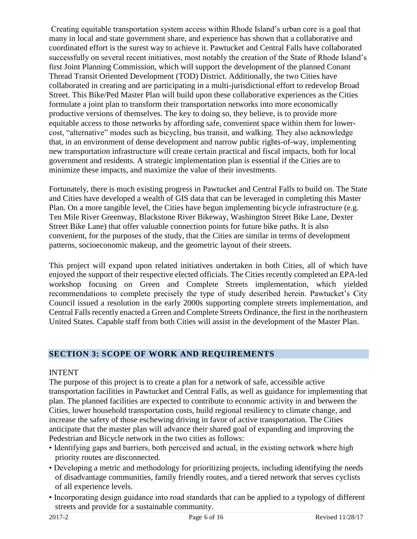Creating equitable transportation system access within Rhode Island's urban core is a goal that many in local and state government share, and experience has shown that a collaborative and coordinated effort is the surest way to achieve it. Pawtucket and Central Falls have collaborated successfully on several recent initiatives, most notably the creation of the State of Rhode Island's first Joint Planning Commission, which will support the development of the planned Conant Thread Transit Oriented Development (TOD) District. Additionally, the two Cities have collaborated in creating and are participating in a multi-jurisdictional effort to redevelop Broad Street. This Bike/Ped Master Plan will build upon these collaborative experiences as the Cities formulate a joint plan to transform their transportation networks into more economically productive versions of themselves. The key to doing so, they believe, is to provide more equitable access to those networks by affording safe, convenient space within them for lowercost, "alternative" modes such as bicycling, bus transit, and walking. They also acknowledge that, in an environment of dense development and narrow public rights-of-way, implementing new transportation infrastructure will create certain practical and fiscal impacts, both for local government and residents. A strategic implementation plan is essential if the Cities are to minimize these impacts, and maximize the value of their investments.

Fortunately, there is much existing progress in Pawtucket and Central Falls to build on. The State and Cities have developed a wealth of GIS data that can be leveraged in completing this Master Plan. On a more tangible level, the Cities have begun implementing bicycle infrastructure (e.g. Ten Mile River Greenway, Blackstone River Bikeway, Washington Street Bike Lane, Dexter Street Bike Lane) that offer valuable connection points for future bike paths. It is also convenient, for the purposes of the study, that the Cities are similar in terms of development patterns, socioeconomic makeup, and the geometric layout of their streets.

This project will expand upon related initiatives undertaken in both Cities, all of which have enjoyed the support of their respective elected officials. The Cities recently completed an EPA-led workshop focusing on Green and Complete Streets implementation, which yielded recommendations to complete precisely the type of study described herein. Pawtucket's City Council issued a resolution in the early 2000s supporting complete streets implementation, and Central Falls recently enacted a Green and Complete Streets Ordinance, the first in the northeastern United States. Capable staff from both Cities will assist in the development of the Master Plan.

# <span id="page-5-0"></span>**SECTION 3: SCOPE OF WORK AND REQUIREMENTS**

#### INTENT

The purpose of this project is to create a plan for a network of safe, accessible active transportation facilities in Pawtucket and Central Falls, as well as guidance for implementing that plan. The planned facilities are expected to contribute to economic activity in and between the Cities, lower household transportation costs, build regional resiliency to climate change, and increase the safety of those eschewing driving in favor of active transportation. The Cities anticipate that the master plan will advance their shared goal of expanding and improving the Pedestrian and Bicycle network in the two cities as follows:

- Identifying gaps and barriers, both perceived and actual, in the existing network where high priority routes are disconnected.
- Developing a metric and methodology for prioritizing projects, including identifying the needs of disadvantage communities, family friendly routes, and a tiered network that serves cyclists of all experience levels.
- Incorporating design guidance into road standards that can be applied to a typology of different streets and provide for a sustainable community.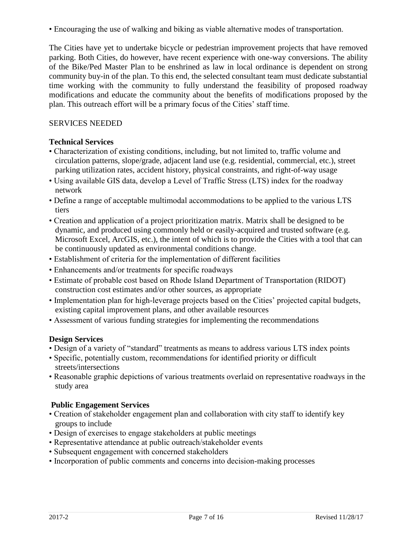• Encouraging the use of walking and biking as viable alternative modes of transportation.

The Cities have yet to undertake bicycle or pedestrian improvement projects that have removed parking. Both Cities, do however, have recent experience with one-way conversions. The ability of the Bike/Ped Master Plan to be enshrined as law in local ordinance is dependent on strong community buy-in of the plan. To this end, the selected consultant team must dedicate substantial time working with the community to fully understand the feasibility of proposed roadway modifications and educate the community about the benefits of modifications proposed by the plan. This outreach effort will be a primary focus of the Cities' staff time.

#### SERVICES NEEDED

#### **Technical Services**

- Characterization of existing conditions, including, but not limited to, traffic volume and circulation patterns, slope/grade, adjacent land use (e.g. residential, commercial, etc.), street parking utilization rates, accident history, physical constraints, and right-of-way usage
- Using available GIS data, develop a Level of Traffic Stress (LTS) index for the roadway network
- Define a range of acceptable multimodal accommodations to be applied to the various LTS tiers
- Creation and application of a project prioritization matrix. Matrix shall be designed to be dynamic, and produced using commonly held or easily-acquired and trusted software (e.g. Microsoft Excel, ArcGIS, etc.), the intent of which is to provide the Cities with a tool that can be continuously updated as environmental conditions change.
- Establishment of criteria for the implementation of different facilities
- Enhancements and/or treatments for specific roadways
- Estimate of probable cost based on Rhode Island Department of Transportation (RIDOT) construction cost estimates and/or other sources, as appropriate
- Implementation plan for high-leverage projects based on the Cities' projected capital budgets, existing capital improvement plans, and other available resources
- Assessment of various funding strategies for implementing the recommendations

#### **Design Services**

- Design of a variety of "standard" treatments as means to address various LTS index points
- Specific, potentially custom, recommendations for identified priority or difficult streets/intersections
- Reasonable graphic depictions of various treatments overlaid on representative roadways in the study area

#### **Public Engagement Services**

- Creation of stakeholder engagement plan and collaboration with city staff to identify key groups to include
- Design of exercises to engage stakeholders at public meetings
- Representative attendance at public outreach/stakeholder events
- Subsequent engagement with concerned stakeholders
- Incorporation of public comments and concerns into decision-making processes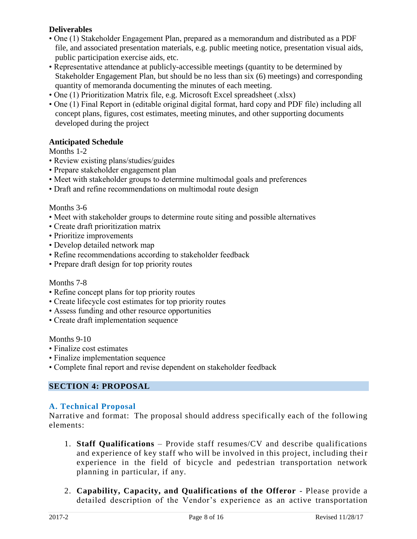#### **Deliverables**

- One (1) Stakeholder Engagement Plan, prepared as a memorandum and distributed as a PDF file, and associated presentation materials, e.g. public meeting notice, presentation visual aids, public participation exercise aids, etc.
- Representative attendance at publicly-accessible meetings (quantity to be determined by Stakeholder Engagement Plan, but should be no less than six (6) meetings) and corresponding quantity of memoranda documenting the minutes of each meeting.
- One (1) Prioritization Matrix file, e.g. Microsoft Excel spreadsheet (.xlsx)
- One (1) Final Report in (editable original digital format, hard copy and PDF file) including all concept plans, figures, cost estimates, meeting minutes, and other supporting documents developed during the project

#### **Anticipated Schedule**

#### Months 1-2

- Review existing plans/studies/guides
- Prepare stakeholder engagement plan
- Meet with stakeholder groups to determine multimodal goals and preferences
- Draft and refine recommendations on multimodal route design

#### Months 3-6

- Meet with stakeholder groups to determine route siting and possible alternatives
- Create draft prioritization matrix
- Prioritize improvements
- Develop detailed network map
- Refine recommendations according to stakeholder feedback
- Prepare draft design for top priority routes

#### Months 7-8

- Refine concept plans for top priority routes
- Create lifecycle cost estimates for top priority routes
- Assess funding and other resource opportunities
- Create draft implementation sequence

#### Months 9-10

- Finalize cost estimates
- Finalize implementation sequence
- Complete final report and revise dependent on stakeholder feedback

#### <span id="page-7-0"></span>**SECTION 4: PROPOSAL**

#### <span id="page-7-1"></span>**A. Technical Proposal**

Narrative and format: The proposal should address specifically each of the following elements:

- 1. **Staff Qualifications** Provide staff resumes/CV and describe qualifications and experience of key staff who will be involved in this project, including their experience in the field of bicycle and pedestrian transportation network planning in particular, if any.
- 2. **Capability, Capacity, and Qualifications of the Offeror** Please provide a detailed description of the Vendor's experience as an active transportation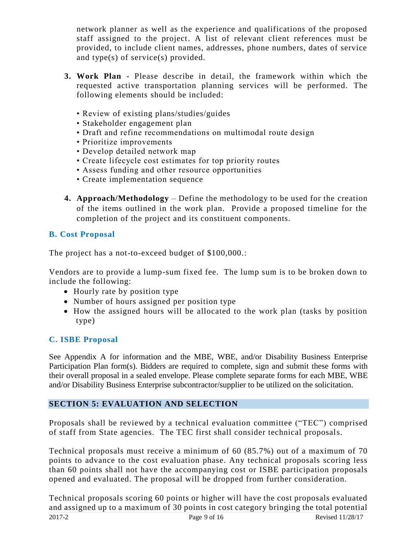network planner as well as the experience and qualifications of the proposed staff assigned to the project. A list of relevant client references must be provided, to include client names, addresses, phone numbers, dates of service and type(s) of service(s) provided.

- **3. Work Plan -** Please describe in detail, the framework within which the requested active transportation planning services will be performed. The following elements should be included:
	- Review of existing plans/studies/guides
	- Stakeholder engagement plan
	- Draft and refine recommendations on multimodal route design
	- Prioritize improvements
	- Develop detailed network map
	- Create lifecycle cost estimates for top priority routes
	- Assess funding and other resource opportunities
	- Create implementation sequence
- **4. Approach/Methodology**  Define the methodology to be used for the creation of the items outlined in the work plan. Provide a proposed timeline for the completion of the project and its constituent components.

# <span id="page-8-0"></span>**B. Cost Proposal**

The project has a not-to-exceed budget of \$100,000.:

Vendors are to provide a lump-sum fixed fee. The lump sum is to be broken down to include the following:

- Hourly rate by position type
- Number of hours assigned per position type
- How the assigned hours will be allocated to the work plan (tasks by position type)

# <span id="page-8-1"></span>**C. ISBE Proposal**

See Appendix A for information and the MBE, WBE, and/or Disability Business Enterprise Participation Plan form(s). Bidders are required to complete, sign and submit these forms with their overall proposal in a sealed envelope. Please complete separate forms for each MBE, WBE and/or Disability Business Enterprise subcontractor/supplier to be utilized on the solicitation.

#### <span id="page-8-2"></span>**SECTION 5: EVALUATION AND SELECTION**

Proposals shall be reviewed by a technical evaluation committee ("TEC") comprised of staff from State agencies. The TEC first shall consider technical proposals.

Technical proposals must receive a minimum of 60 (85.7%) out of a maximum of 70 points to advance to the cost evaluation phase. Any technical proposals scoring less than 60 points shall not have the accompanying cost or ISBE participation proposals opened and evaluated. The proposal will be dropped from further consideration.

2017-2 **Page 9 of 16** Revised 11/28/17 Technical proposals scoring 60 points or higher will have the cost proposals evaluated and assigned up to a maximum of 30 points in cost category bringing the total potential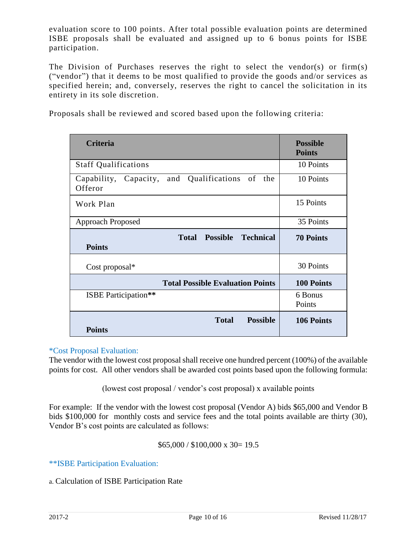evaluation score to 100 points. After total possible evaluation points are determined ISBE proposals shall be evaluated and assigned up to 6 bonus points for ISBE participation.

The Division of Purchases reserves the right to select the vendor(s) or firm(s) ("vendor") that it deems to be most qualified to provide the goods and/or services as specified herein; and, conversely, reserves the right to cancel the solicitation in its entirety in its sole discretion.

Proposals shall be reviewed and scored based upon the following criteria:

| <b>Criteria</b>                                                      | <b>Possible</b><br><b>Points</b> |  |
|----------------------------------------------------------------------|----------------------------------|--|
| <b>Staff Qualifications</b>                                          | 10 Points                        |  |
| Capability, Capacity, and Qualifications of the<br>Offeror           | 10 Points                        |  |
| Work Plan                                                            | 15 Points                        |  |
| Approach Proposed                                                    | 35 Points                        |  |
| <b>Possible</b><br><b>Technical</b><br><b>Total</b><br><b>Points</b> | <b>70 Points</b>                 |  |
| Cost proposal $*$                                                    | 30 Points                        |  |
| <b>Total Possible Evaluation Points</b>                              | <b>100 Points</b>                |  |
| <b>ISBE</b> Participation**                                          | 6 Bonus<br>Points                |  |
| <b>Possible</b><br><b>Total</b><br><b>Points</b>                     | 106 Points                       |  |

#### \*Cost Proposal Evaluation:

The vendor with the lowest cost proposal shall receive one hundred percent (100%) of the available points for cost. All other vendors shall be awarded cost points based upon the following formula:

(lowest cost proposal / vendor's cost proposal) x available points

For example: If the vendor with the lowest cost proposal (Vendor A) bids \$65,000 and Vendor B bids \$100,000 for monthly costs and service fees and the total points available are thirty (30), Vendor B's cost points are calculated as follows:

#### $$65,000 / $100,000 \text{ x } 30 = 19.5$

\*\*ISBE Participation Evaluation:

a. Calculation of ISBE Participation Rate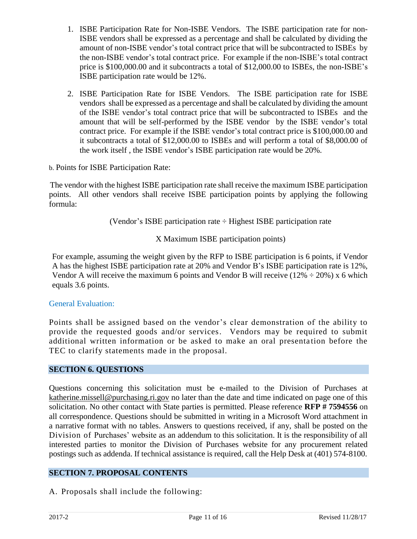- 1. ISBE Participation Rate for Non-ISBE Vendors. The ISBE participation rate for non-ISBE vendors shall be expressed as a percentage and shall be calculated by dividing the amount of non-ISBE vendor's total contract price that will be subcontracted to ISBEs by the non-ISBE vendor's total contract price. For example if the non-ISBE's total contract price is \$100,000.00 and it subcontracts a total of \$12,000.00 to ISBEs, the non-ISBE's ISBE participation rate would be 12%.
- 2. ISBE Participation Rate for ISBE Vendors. The ISBE participation rate for ISBE vendors shall be expressed as a percentage and shall be calculated by dividing the amount of the ISBE vendor's total contract price that will be subcontracted to ISBEs and the amount that will be self-performed by the ISBE vendor by the ISBE vendor's total contract price. For example if the ISBE vendor's total contract price is \$100,000.00 and it subcontracts a total of \$12,000.00 to ISBEs and will perform a total of \$8,000.00 of the work itself , the ISBE vendor's ISBE participation rate would be 20%.

b. Points for ISBE Participation Rate:

 The vendor with the highest ISBE participation rate shall receive the maximum ISBE participation points. All other vendors shall receive ISBE participation points by applying the following formula:

(Vendor's ISBE participation rate ÷ Highest ISBE participation rate

X Maximum ISBE participation points)

For example, assuming the weight given by the RFP to ISBE participation is 6 points, if Vendor A has the highest ISBE participation rate at 20% and Vendor B's ISBE participation rate is 12%, Vendor A will receive the maximum 6 points and Vendor B will receive ( $12\% \div 20\%$ ) x 6 which equals 3.6 points.

#### General Evaluation:

Points shall be assigned based on the vendor's clear demonstration of the ability to provide the requested goods and/or services. Vendors may be required to submit additional written information or be asked to make an oral presentation before the TEC to clarify statements made in the proposal.

#### <span id="page-10-0"></span>**SECTION 6. QUESTIONS**

Questions concerning this solicitation must be e-mailed to the Division of Purchases at katherine.missell@purchasing.ri.gov no later than the date and time indicated on page one of this solicitation. No other contact with State parties is permitted. Please reference **RFP # 7594556** on all correspondence. Questions should be submitted in writing in a Microsoft Word attachment in a narrative format with no tables. Answers to questions received, if any, shall be posted on the Division of Purchases' website as an addendum to this solicitation. It is the responsibility of all interested parties to monitor the Division of Purchases website for any procurement related postings such as addenda. If technical assistance is required, call the Help Desk at (401) 574-8100.

#### <span id="page-10-1"></span>**SECTION 7. PROPOSAL CONTENTS**

A. Proposals shall include the following: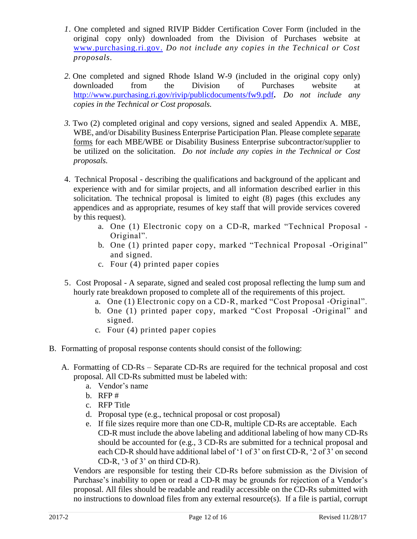- *1.* One completed and signed RIVIP Bidder Certification Cover Form (included in the original copy only) downloaded from the Division of Purchases website at [www.purchasing.ri.gov.](http://www.purchasing.ri.gov/) *Do not include any copies in the Technical or Cost proposals.*
- *2.* One completed and signed Rhode Island W-9 (included in the original copy only) downloaded from the Division of Purchases website at <http://www.purchasing.ri.gov/rivip/publicdocuments/fw9.pdf>**.** *Do not include any copies in the Technical or Cost proposals.*
- *3.* Two (2) completed original and copy versions, signed and sealed Appendix A. MBE, WBE, and/or Disability Business Enterprise Participation Plan. Please complete separate forms for each MBE/WBE or Disability Business Enterprise subcontractor/supplier to be utilized on the solicitation. *Do not include any copies in the Technical or Cost proposals.*
- 4. Technical Proposal describing the qualifications and background of the applicant and experience with and for similar projects, and all information described earlier in this solicitation. The technical proposal is limited to eight (8) pages (this excludes any appendices and as appropriate, resumes of key staff that will provide services covered by this request).
	- a. One (1) Electronic copy on a CD-R, marked "Technical Proposal Original".
	- b. One (1) printed paper copy, marked "Technical Proposal -Original" and signed.
	- c. Four (4) printed paper copies
- 5. Cost Proposal A separate, signed and sealed cost proposal reflecting the lump sum and hourly rate breakdown proposed to complete all of the requirements of this project.
	- a. One (1) Electronic copy on a CD-R, marked "Cost Proposal -Original".
	- b. One (1) printed paper copy, marked "Cost Proposal -Original" and signed.
	- c. Four (4) printed paper copies
- B. Formatting of proposal response contents should consist of the following:
	- A. Formatting of CD-Rs Separate CD-Rs are required for the technical proposal and cost proposal. All CD-Rs submitted must be labeled with:
		- a. Vendor's name
		- b. RFP #
		- c. RFP Title
		- d. Proposal type (e.g., technical proposal or cost proposal)
		- e. If file sizes require more than one CD-R, multiple CD-Rs are acceptable. Each CD-R must include the above labeling and additional labeling of how many CD-Rs should be accounted for (e.g., 3 CD-Rs are submitted for a technical proposal and each CD-R should have additional label of '1 of 3' on first CD-R, '2 of 3' on second CD-R, '3 of 3' on third CD-R).

Vendors are responsible for testing their CD-Rs before submission as the Division of Purchase's inability to open or read a CD-R may be grounds for rejection of a Vendor's proposal. All files should be readable and readily accessible on the CD-Rs submitted with no instructions to download files from any external resource(s). If a file is partial, corrupt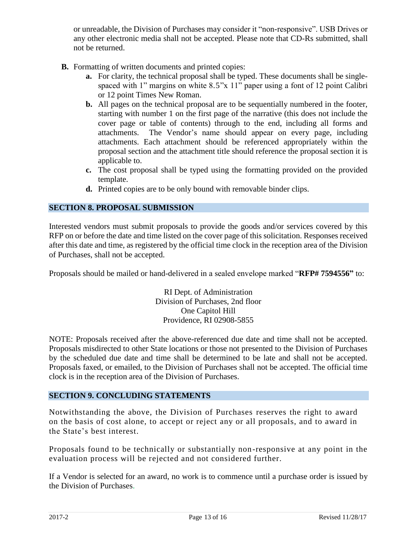or unreadable, the Division of Purchases may consider it "non-responsive". USB Drives or any other electronic media shall not be accepted. Please note that CD-Rs submitted, shall not be returned.

- **B.** Formatting of written documents and printed copies:
	- **a.** For clarity, the technical proposal shall be typed. These documents shall be singlespaced with 1" margins on white 8.5"x 11" paper using a font of 12 point Calibri or 12 point Times New Roman.
	- **b.** All pages on the technical proposal are to be sequentially numbered in the footer, starting with number 1 on the first page of the narrative (this does not include the cover page or table of contents) through to the end, including all forms and attachments. The Vendor's name should appear on every page, including attachments. Each attachment should be referenced appropriately within the proposal section and the attachment title should reference the proposal section it is applicable to.
	- **c.** The cost proposal shall be typed using the formatting provided on the provided template.
	- **d.** Printed copies are to be only bound with removable binder clips.

#### <span id="page-12-0"></span>**SECTION 8. PROPOSAL SUBMISSION**

Interested vendors must submit proposals to provide the goods and/or services covered by this RFP on or before the date and time listed on the cover page of this solicitation. Responses received after this date and time, as registered by the official time clock in the reception area of the Division of Purchases, shall not be accepted.

Proposals should be mailed or hand-delivered in a sealed envelope marked "**RFP# 7594556"** to:

RI Dept. of Administration Division of Purchases, 2nd floor One Capitol Hill Providence, RI 02908-5855

NOTE: Proposals received after the above-referenced due date and time shall not be accepted. Proposals misdirected to other State locations or those not presented to the Division of Purchases by the scheduled due date and time shall be determined to be late and shall not be accepted. Proposals faxed, or emailed, to the Division of Purchases shall not be accepted. The official time clock is in the reception area of the Division of Purchases.

#### <span id="page-12-1"></span>**SECTION 9. CONCLUDING STATEMENTS**

Notwithstanding the above, the Division of Purchases reserves the right to award on the basis of cost alone, to accept or reject any or all proposals, and to award in the State's best interest.

Proposals found to be technically or substantially non-responsive at any point in the evaluation process will be rejected and not considered further.

If a Vendor is selected for an award, no work is to commence until a purchase order is issued by the Division of Purchases.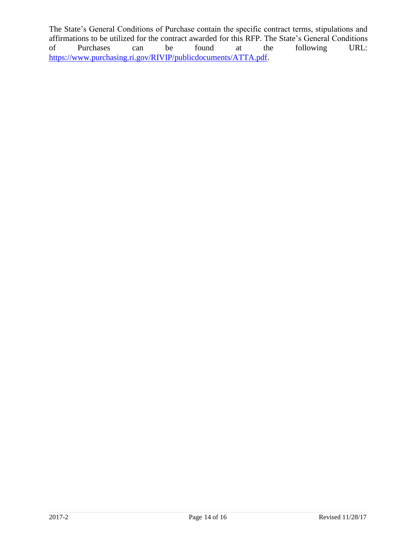The State's General Conditions of Purchase contain the specific contract terms, stipulations and affirmations to be utilized for the contract awarded for this RFP. The State's General Conditions of Purchases can be found at the following URL: [https://www.purchasing.ri.gov/RIVIP/publicdocuments/ATTA.pdf.](https://www.purchasing.ri.gov/RIVIP/publicdocuments/ATTA.pdf)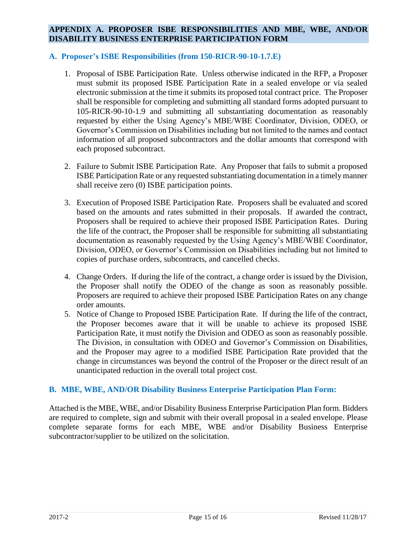#### <span id="page-14-0"></span>**APPENDIX A. PROPOSER ISBE RESPONSIBILITIES AND MBE, WBE, AND/OR DISABILITY BUSINESS ENTERPRISE PARTICIPATION FORM**

#### **A. Proposer's ISBE Responsibilities (from 150-RICR-90-10-1.7.E)**

- 1. Proposal of ISBE Participation Rate. Unless otherwise indicated in the RFP, a Proposer must submit its proposed ISBE Participation Rate in a sealed envelope or via sealed electronic submission at the time it submits its proposed total contract price. The Proposer shall be responsible for completing and submitting all standard forms adopted pursuant to 105-RICR-90-10-1.9 and submitting all substantiating documentation as reasonably requested by either the Using Agency's MBE/WBE Coordinator, Division, ODEO, or Governor's Commission on Disabilities including but not limited to the names and contact information of all proposed subcontractors and the dollar amounts that correspond with each proposed subcontract.
- 2. Failure to Submit ISBE Participation Rate. Any Proposer that fails to submit a proposed ISBE Participation Rate or any requested substantiating documentation in a timely manner shall receive zero (0) ISBE participation points.
- 3. Execution of Proposed ISBE Participation Rate. Proposers shall be evaluated and scored based on the amounts and rates submitted in their proposals. If awarded the contract, Proposers shall be required to achieve their proposed ISBE Participation Rates. During the life of the contract, the Proposer shall be responsible for submitting all substantiating documentation as reasonably requested by the Using Agency's MBE/WBE Coordinator, Division, ODEO, or Governor's Commission on Disabilities including but not limited to copies of purchase orders, subcontracts, and cancelled checks.
- 4. Change Orders. If during the life of the contract, a change order is issued by the Division, the Proposer shall notify the ODEO of the change as soon as reasonably possible. Proposers are required to achieve their proposed ISBE Participation Rates on any change order amounts.
- 5. Notice of Change to Proposed ISBE Participation Rate. If during the life of the contract, the Proposer becomes aware that it will be unable to achieve its proposed ISBE Participation Rate, it must notify the Division and ODEO as soon as reasonably possible. The Division, in consultation with ODEO and Governor's Commission on Disabilities, and the Proposer may agree to a modified ISBE Participation Rate provided that the change in circumstances was beyond the control of the Proposer or the direct result of an unanticipated reduction in the overall total project cost.

#### **B. MBE, WBE, AND/OR Disability Business Enterprise Participation Plan Form:**

Attached is the MBE, WBE, and/or Disability Business Enterprise Participation Plan form. Bidders are required to complete, sign and submit with their overall proposal in a sealed envelope. Please complete separate forms for each MBE, WBE and/or Disability Business Enterprise subcontractor/supplier to be utilized on the solicitation.